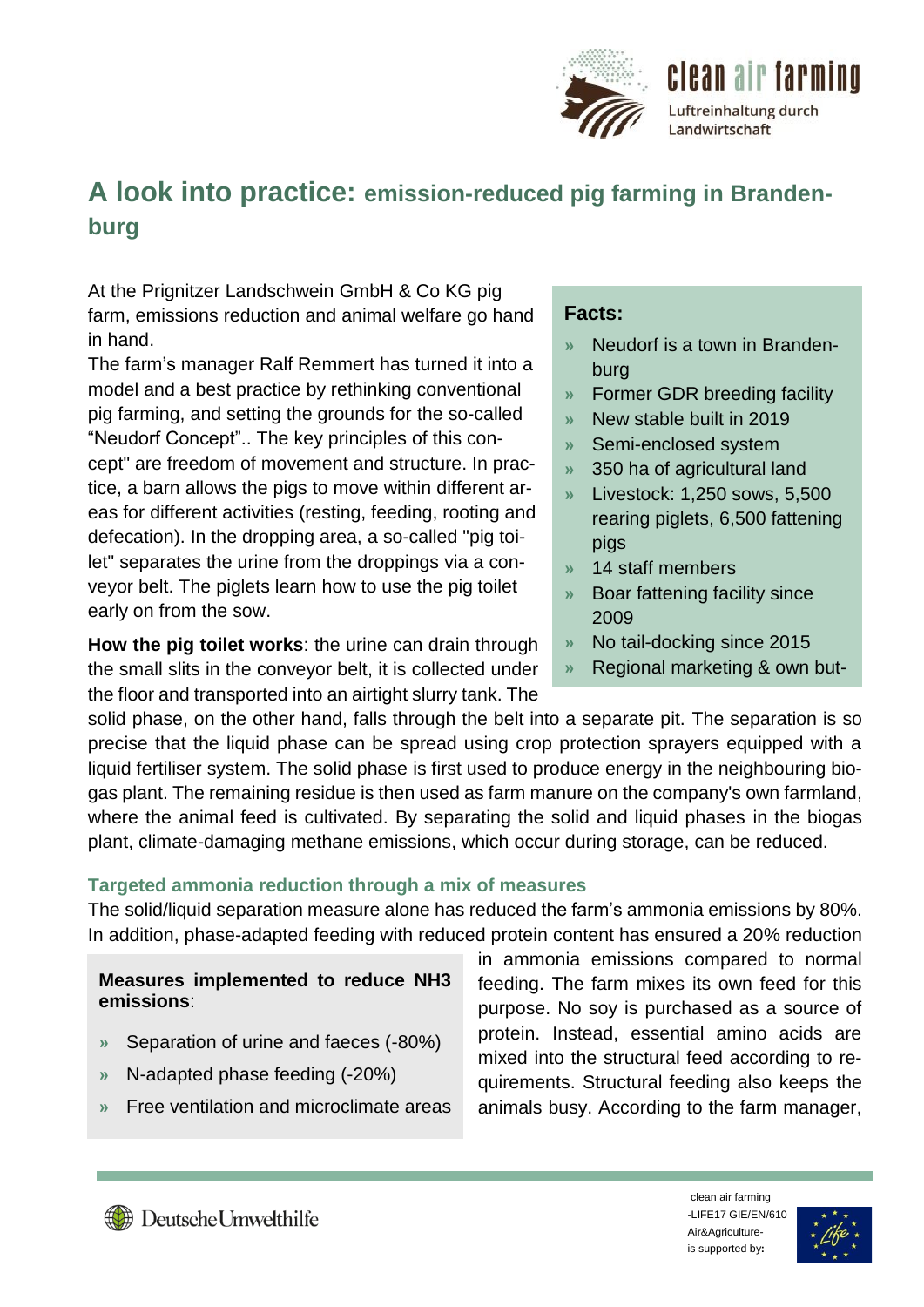

# **A look into practice: emission-reduced pig farming in Brandenburg**

At the Prignitzer Landschwein GmbH & Co KG pig farm, emissions reduction and animal welfare go hand in hand.

The farm's manager Ralf Remmert has turned it into a model and a best practice by rethinking conventional pig farming, and setting the grounds for the so-called "Neudorf Concept".. The key principles of this concept" are freedom of movement and structure. In practice, a barn allows the pigs to move within different areas for different activities (resting, feeding, rooting and defecation). In the dropping area, a so-called "pig toilet" separates the urine from the droppings via a conveyor belt. The piglets learn how to use the pig toilet early on from the sow.

**How the pig toilet works**: the urine can drain through the small slits in the conveyor belt, it is collected under the floor and transported into an airtight slurry tank. The

## **Facts:**

- **»** Neudorf is a town in Brandenburg
- **»** Former GDR breeding facility
- **»** New stable built in 2019
- **»** Semi-enclosed system
- **»** 350 ha of agricultural land
- **»** Livestock: 1,250 sows, 5,500 rearing piglets, 6,500 fattening pigs
- **»** 14 staff members

chery

- **»** Boar fattening facility since 2009
- **»** No tail-docking since 2015
- **»** Regional marketing & own but-

solid phase, on the other hand, falls through the belt into a separate pit. The separation is so precise that the liquid phase can be spread using crop protection sprayers equipped with a liquid fertiliser system. The solid phase is first used to produce energy in the neighbouring biogas plant. The remaining residue is then used as farm manure on the company's own farmland, where the animal feed is cultivated. By separating the solid and liquid phases in the biogas plant, climate-damaging methane emissions, which occur during storage, can be reduced.

### **Targeted ammonia reduction through a mix of measures**

The solid/liquid separation measure alone has reduced the farm's ammonia emissions by 80%. In addition, phase-adapted feeding with reduced protein content has ensured a 20% reduction

### **Measures implemented to reduce NH3 emissions**:

- **»** Separation of urine and faeces (-80%)
- **»** N-adapted phase feeding (-20%)
- **»** Free ventilation and microclimate areas

in ammonia emissions compared to normal feeding. The farm mixes its own feed for this purpose. No soy is purchased as a source of protein. Instead, essential amino acids are mixed into the structural feed according to requirements. Structural feeding also keeps the animals busy. According to the farm manager,



clean air farming -LIFE17 GIE/EN/610 Air&Agricultureis supported by**:**

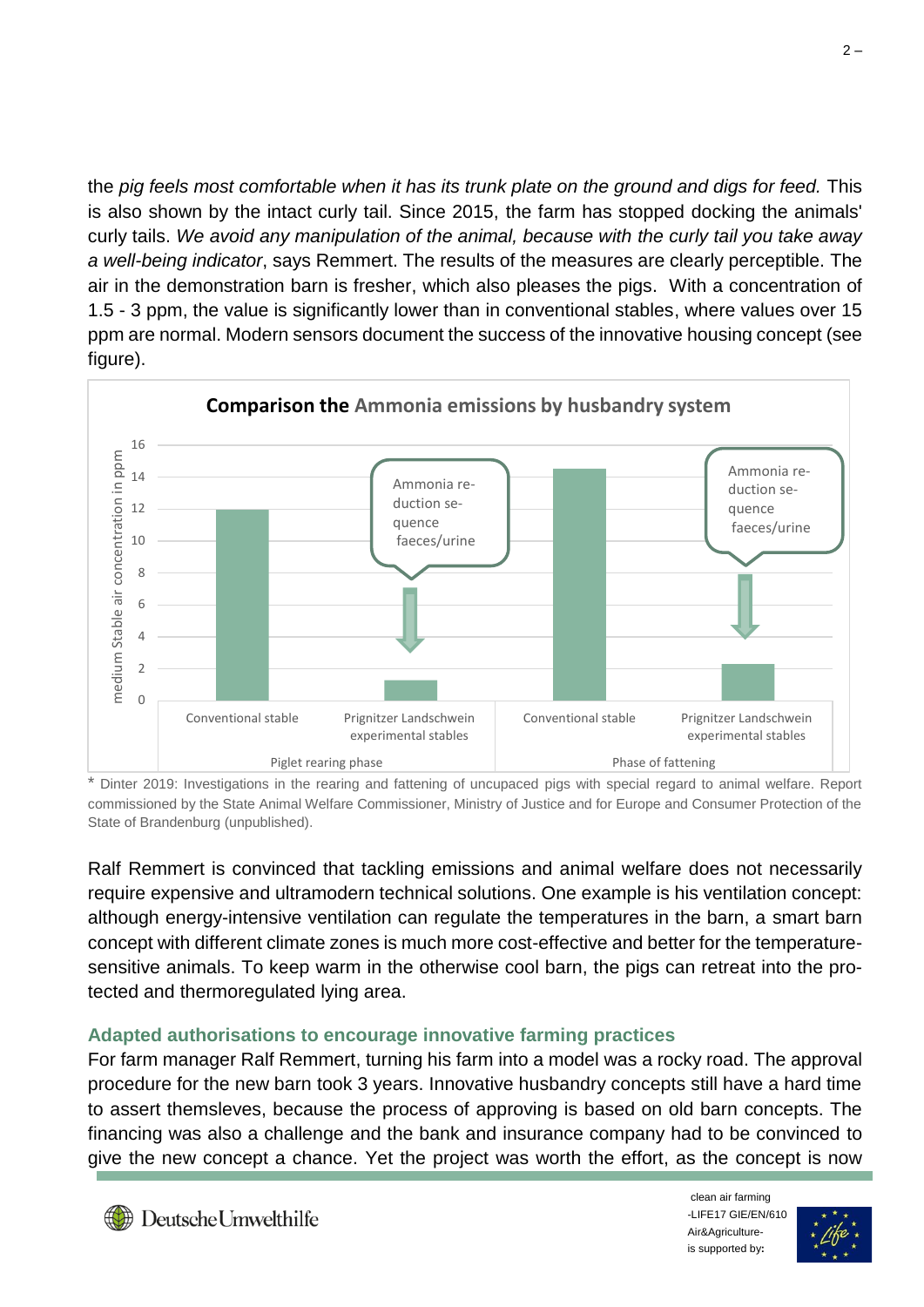the *pig feels most comfortable when it has its trunk plate on the ground and digs for feed.* This is also shown by the intact curly tail. Since 2015, the farm has stopped docking the animals' curly tails. *We avoid any manipulation of the animal, because with the curly tail you take away a well-being indicator*, says Remmert. The results of the measures are clearly perceptible. The air in the demonstration barn is fresher, which also pleases the pigs. With a concentration of 1.5 - 3 ppm, the value is significantly lower than in conventional stables, where values over 15 ppm are normal. Modern sensors document the success of the innovative housing concept (see figure).



Dinter 2019: Investigations in the rearing and fattening of uncupaced pigs with special regard to animal welfare. Report commissioned by the State Animal Welfare Commissioner, Ministry of Justice and for Europe and Consumer Protection of the State of Brandenburg (unpublished).

Ralf Remmert is convinced that tackling emissions and animal welfare does not necessarily require expensive and ultramodern technical solutions. One example is his ventilation concept: although energy-intensive ventilation can regulate the temperatures in the barn, a smart barn concept with different climate zones is much more cost-effective and better for the temperaturesensitive animals. To keep warm in the otherwise cool barn, the pigs can retreat into the protected and thermoregulated lying area.

### **Adapted authorisations to encourage innovative farming practices**

For farm manager Ralf Remmert, turning his farm into a model was a rocky road. The approval procedure for the new barn took 3 years. Innovative husbandry concepts still have a hard time to assert themsleves, because the process of approving is based on old barn concepts. The financing was also a challenge and the bank and insurance company had to be convinced to give the new concept a chance. Yet the project was worth the effort, as the concept is now

clean air farming -LIFE17 GIE/EN/610 Air&Agricultureis supported by**:**